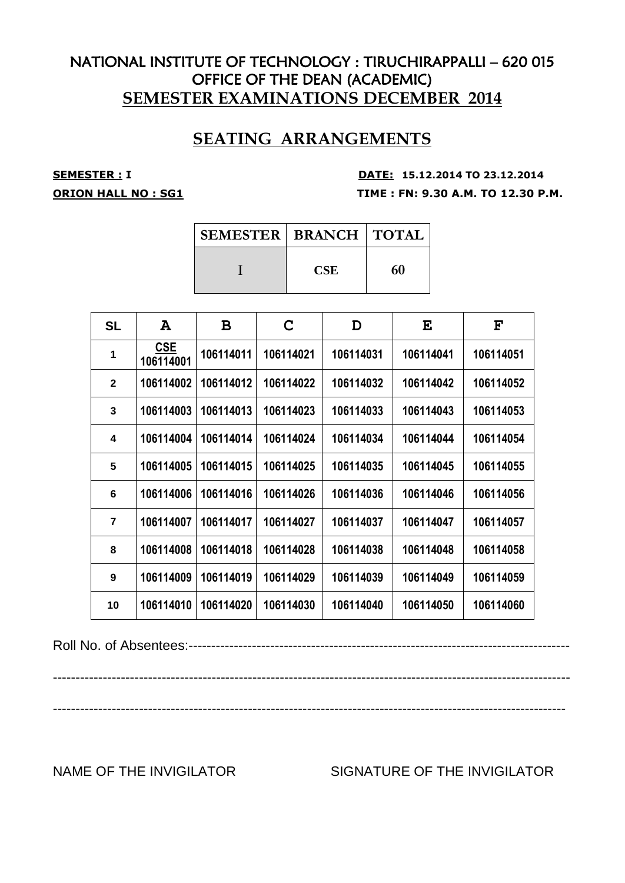# **SEATING ARRANGEMENTS**

**SEMESTER : <sup>I</sup> DATE: 15.12.2014 TO 23.12.2014 ORION HALL NO : SG1 TIME : FN: 9.30 A.M. TO 12.30 P.M.**

| <b>SEMESTER   BRANCH   TOTAL</b> |            |    |
|----------------------------------|------------|----|
|                                  | <b>CSE</b> | 60 |

| <b>SL</b>      | A                       | В         | C         | D         | E         | $\mathbf{F}$ |
|----------------|-------------------------|-----------|-----------|-----------|-----------|--------------|
| 1              | <b>CSE</b><br>106114001 | 106114011 | 106114021 | 106114031 | 106114041 | 106114051    |
| $\mathbf{2}$   | 106114002               | 106114012 | 106114022 | 106114032 | 106114042 | 106114052    |
| 3              | 106114003               | 106114013 | 106114023 | 106114033 | 106114043 | 106114053    |
| 4              | 106114004               | 106114014 | 106114024 | 106114034 | 106114044 | 106114054    |
| 5              | 106114005               | 106114015 | 106114025 | 106114035 | 106114045 | 106114055    |
| 6              | 106114006               | 106114016 | 106114026 | 106114036 | 106114046 | 106114056    |
| $\overline{7}$ | 106114007               | 106114017 | 106114027 | 106114037 | 106114047 | 106114057    |
| 8              | 106114008               | 106114018 | 106114028 | 106114038 | 106114048 | 106114058    |
| 9              | 106114009               | 106114019 | 106114029 | 106114039 | 106114049 | 106114059    |
| 10             | 106114010               | 106114020 | 106114030 | 106114040 | 106114050 | 106114060    |

Roll No. of Absentees:------------------------------------------------------------------------------------

------------------------------------------------------------------------------------------------------------------ -----------------------------------------------------------------------------------------------------------------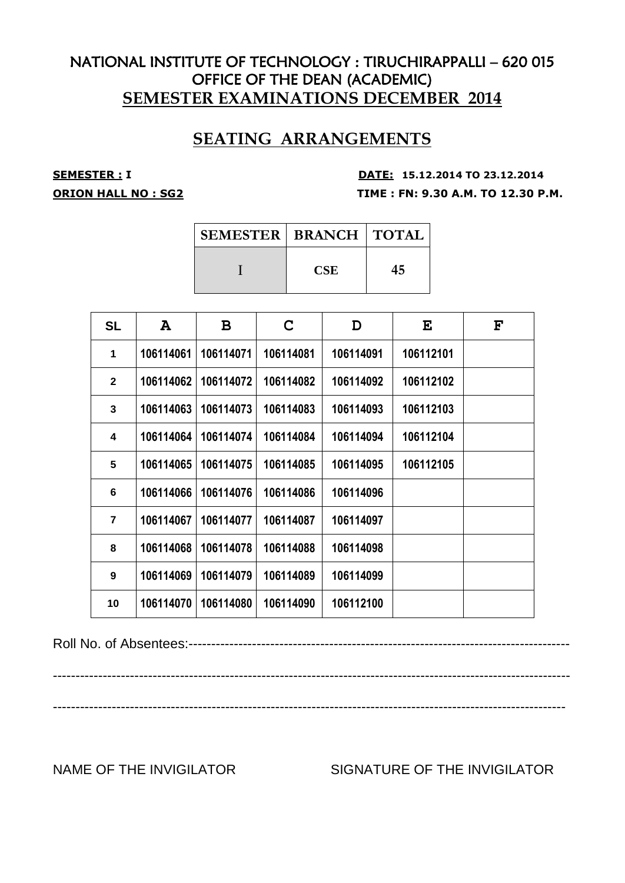# **SEATING ARRANGEMENTS**

**SEMESTER : <sup>I</sup> DATE: 15.12.2014 TO 23.12.2014 ORION HALL NO : SG2 TIME : FN: 9.30 A.M. TO 12.30 P.M.**

| <b>SEMESTER   BRANCH   TOTAL</b> |            |    |
|----------------------------------|------------|----|
|                                  | <b>CSE</b> | 45 |

| <b>SL</b>      | A         | B         | C         | D         | E         | $\mathbf{F}$ |
|----------------|-----------|-----------|-----------|-----------|-----------|--------------|
| 1              | 106114061 | 106114071 | 106114081 | 106114091 | 106112101 |              |
| $\mathbf{2}$   | 106114062 | 106114072 | 106114082 | 106114092 | 106112102 |              |
| 3              | 106114063 | 106114073 | 106114083 | 106114093 | 106112103 |              |
| 4              | 106114064 | 106114074 | 106114084 | 106114094 | 106112104 |              |
| 5              | 106114065 | 106114075 | 106114085 | 106114095 | 106112105 |              |
| 6              | 106114066 | 106114076 | 106114086 | 106114096 |           |              |
| $\overline{7}$ | 106114067 | 106114077 | 106114087 | 106114097 |           |              |
| 8              | 106114068 | 106114078 | 106114088 | 106114098 |           |              |
| 9              | 106114069 | 106114079 | 106114089 | 106114099 |           |              |
| 10             | 106114070 | 106114080 | 106114090 | 106112100 |           |              |

Roll No. of Absentees:------------------------------------------------------------------------------------

------------------------------------------------------------------------------------------------------------------

-----------------------------------------------------------------------------------------------------------------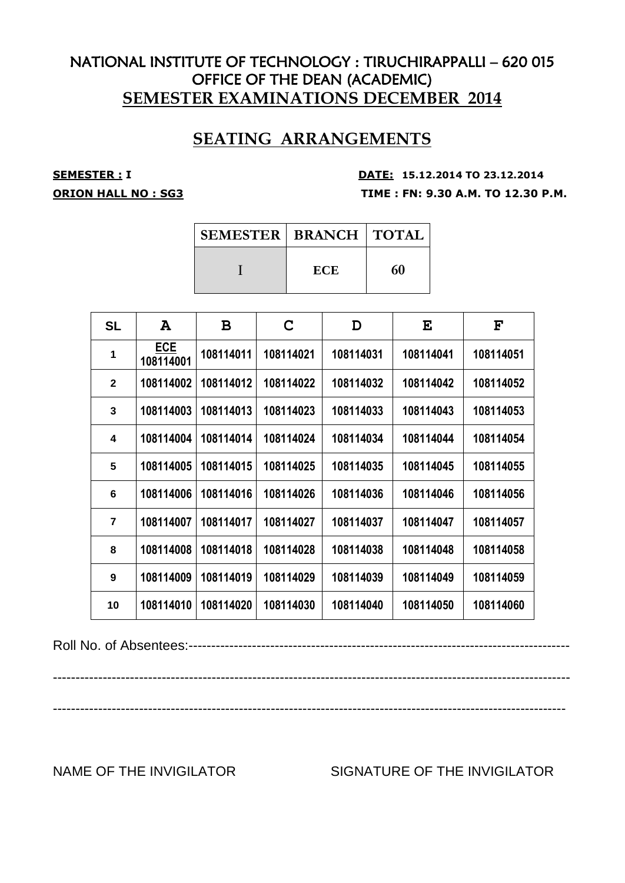# **SEATING ARRANGEMENTS**

**SEMESTER : <sup>I</sup> DATE: 15.12.2014 TO 23.12.2014 ORION HALL NO : SG3 TIME : FN: 9.30 A.M. TO 12.30 P.M.**

| <b>SEMESTER   BRANCH   TOTAL</b> |            |    |
|----------------------------------|------------|----|
|                                  | <b>ECE</b> | 60 |

| <b>SL</b>      | A                       | В         | C         | D         | E         | $\mathbf{F}$ |
|----------------|-------------------------|-----------|-----------|-----------|-----------|--------------|
| 1              | <b>ECE</b><br>108114001 | 108114011 | 108114021 | 108114031 | 108114041 | 108114051    |
| $\mathbf{2}$   | 108114002               | 108114012 | 108114022 | 108114032 | 108114042 | 108114052    |
| 3              | 108114003               | 108114013 | 108114023 | 108114033 | 108114043 | 108114053    |
| 4              | 108114004               | 108114014 | 108114024 | 108114034 | 108114044 | 108114054    |
| 5              | 108114005               | 108114015 | 108114025 | 108114035 | 108114045 | 108114055    |
| 6              | 108114006               | 108114016 | 108114026 | 108114036 | 108114046 | 108114056    |
| $\overline{7}$ | 108114007               | 108114017 | 108114027 | 108114037 | 108114047 | 108114057    |
| 8              | 108114008               | 108114018 | 108114028 | 108114038 | 108114048 | 108114058    |
| 9              | 108114009               | 108114019 | 108114029 | 108114039 | 108114049 | 108114059    |
| 10             | 108114010               | 108114020 | 108114030 | 108114040 | 108114050 | 108114060    |

Roll No. of Absentees:------------------------------------------------------------------------------------

------------------------------------------------------------------------------------------------------------------ -----------------------------------------------------------------------------------------------------------------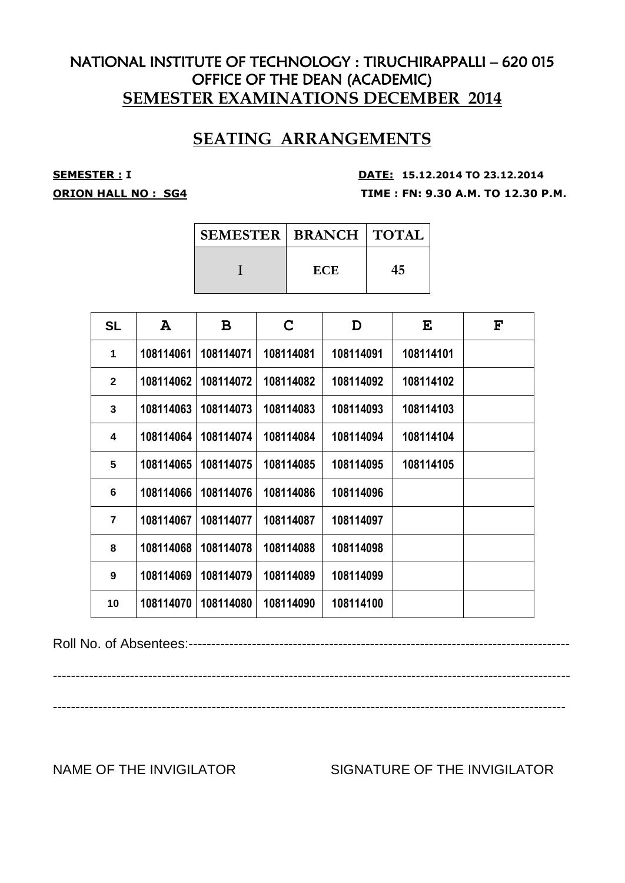# **SEATING ARRANGEMENTS**

**SEMESTER : <sup>I</sup> DATE: 15.12.2014 TO 23.12.2014 ORION HALL NO : SG4 TIME : FN: 9.30 A.M. TO 12.30 P.M.**

| <b>SEMESTER   BRANCH   TOTAL</b> |            |    |
|----------------------------------|------------|----|
|                                  | <b>ECE</b> | 45 |

| <b>SL</b>      | A         | B         | C         | D         | E         | $\mathbf{F}$ |
|----------------|-----------|-----------|-----------|-----------|-----------|--------------|
| 1              | 108114061 | 108114071 | 108114081 | 108114091 | 108114101 |              |
| $\mathbf{2}$   | 108114062 | 108114072 | 108114082 | 108114092 | 108114102 |              |
| 3              | 108114063 | 108114073 | 108114083 | 108114093 | 108114103 |              |
| 4              | 108114064 | 108114074 | 108114084 | 108114094 | 108114104 |              |
| 5              | 108114065 | 108114075 | 108114085 | 108114095 | 108114105 |              |
| 6              | 108114066 | 108114076 | 108114086 | 108114096 |           |              |
| $\overline{7}$ | 108114067 | 108114077 | 108114087 | 108114097 |           |              |
| 8              | 108114068 | 108114078 | 108114088 | 108114098 |           |              |
| 9              | 108114069 | 108114079 | 108114089 | 108114099 |           |              |
| 10             | 108114070 | 108114080 | 108114090 | 108114100 |           |              |

Roll No. of Absentees:------------------------------------------------------------------------------------

------------------------------------------------------------------------------------------------------------------

-----------------------------------------------------------------------------------------------------------------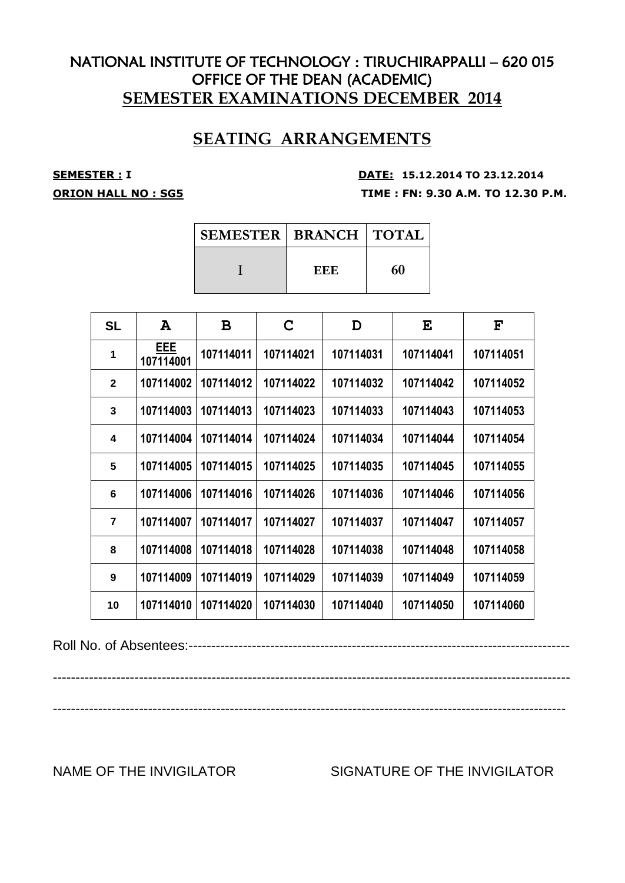# **SEATING ARRANGEMENTS**

**SEMESTER : <sup>I</sup> DATE: 15.12.2014 TO 23.12.2014 ORION HALL NO : SG5 TIME : FN: 9.30 A.M. TO 12.30 P.M.**

| <b>SEMESTER   BRANCH   TOTAL</b> |     |    |
|----------------------------------|-----|----|
|                                  | EEE | 60 |

| <b>SL</b>      | A                | B         | C         | D         | E         | $\mathbf{F}$ |
|----------------|------------------|-----------|-----------|-----------|-----------|--------------|
| 1              | EEE<br>107114001 | 107114011 | 107114021 | 107114031 | 107114041 | 107114051    |
| $\mathbf{2}$   | 107114002        | 107114012 | 107114022 | 107114032 | 107114042 | 107114052    |
| 3              | 107114003        | 107114013 | 107114023 | 107114033 | 107114043 | 107114053    |
| 4              | 107114004        | 107114014 | 107114024 | 107114034 | 107114044 | 107114054    |
| 5              | 107114005        | 107114015 | 107114025 | 107114035 | 107114045 | 107114055    |
| 6              | 107114006        | 107114016 | 107114026 | 107114036 | 107114046 | 107114056    |
| $\overline{7}$ | 107114007        | 107114017 | 107114027 | 107114037 | 107114047 | 107114057    |
| 8              | 107114008        | 107114018 | 107114028 | 107114038 | 107114048 | 107114058    |
| 9              | 107114009        | 107114019 | 107114029 | 107114039 | 107114049 | 107114059    |
| 10             | 107114010        | 107114020 | 107114030 | 107114040 | 107114050 | 107114060    |

Roll No. of Absentees:------------------------------------------------------------------------------------

------------------------------------------------------------------------------------------------------------------

-----------------------------------------------------------------------------------------------------------------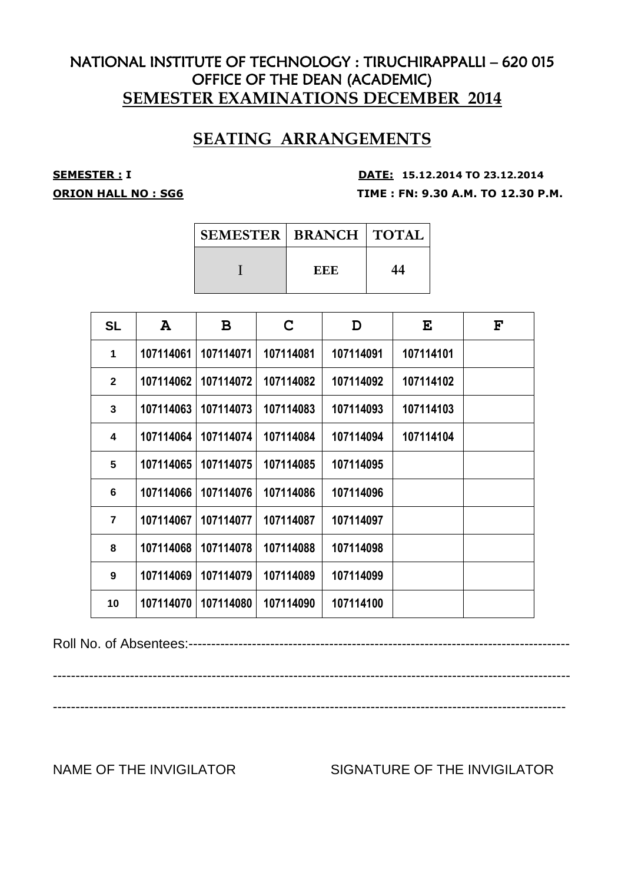# **SEATING ARRANGEMENTS**

**SEMESTER : <sup>I</sup> DATE: 15.12.2014 TO 23.12.2014 ORION HALL NO : SG6 TIME : FN: 9.30 A.M. TO 12.30 P.M.**

| <b>SEMESTER   BRANCH   TOTAL</b> |     |    |
|----------------------------------|-----|----|
|                                  | EEE | 44 |

| <b>SL</b>      | A         | B         | C         | D         | E         | $\mathbf{F}$ |
|----------------|-----------|-----------|-----------|-----------|-----------|--------------|
| 1              | 107114061 | 107114071 | 107114081 | 107114091 | 107114101 |              |
| $\overline{2}$ | 107114062 | 107114072 | 107114082 | 107114092 | 107114102 |              |
| 3              | 107114063 | 107114073 | 107114083 | 107114093 | 107114103 |              |
| 4              | 107114064 | 107114074 | 107114084 | 107114094 | 107114104 |              |
| 5              | 107114065 | 107114075 | 107114085 | 107114095 |           |              |
| 6              | 107114066 | 107114076 | 107114086 | 107114096 |           |              |
| $\overline{7}$ | 107114067 | 107114077 | 107114087 | 107114097 |           |              |
| 8              | 107114068 | 107114078 | 107114088 | 107114098 |           |              |
| 9              | 107114069 | 107114079 | 107114089 | 107114099 |           |              |
| 10             | 107114070 | 107114080 | 107114090 | 107114100 |           |              |

Roll No. of Absentees:------------------------------------------------------------------------------------

------------------------------------------------------------------------------------------------------------------

-----------------------------------------------------------------------------------------------------------------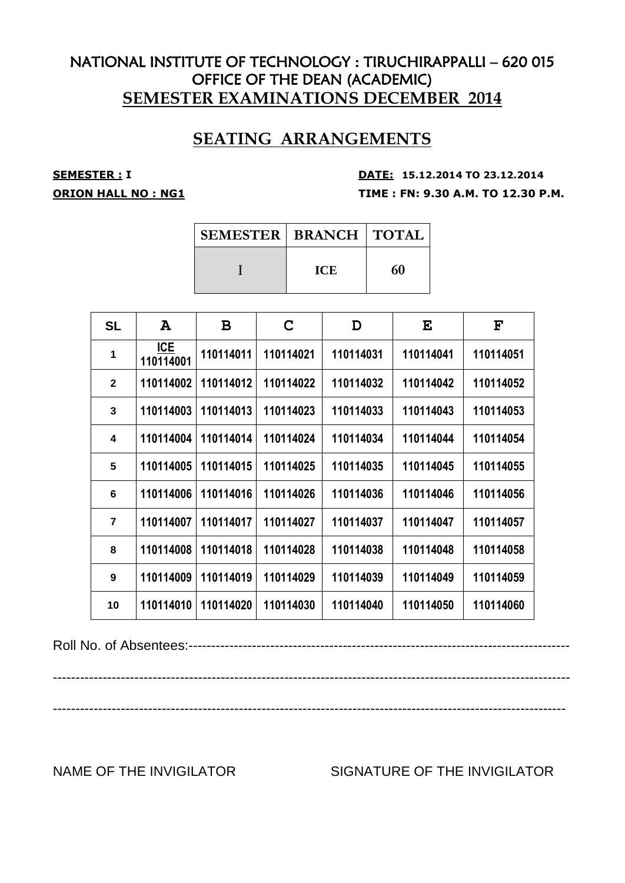# **SEATING ARRANGEMENTS**

**SEMESTER : <sup>I</sup> DATE: 15.12.2014 TO 23.12.2014 ORION HALL NO : NG1 TIME : FN: 9.30 A.M. TO 12.30 P.M.**

| <b>SEMESTER   BRANCH   TOTAL</b> |            |    |
|----------------------------------|------------|----|
|                                  | <b>ICE</b> | 60 |

| <b>SL</b>      | A                | B         | C         | D         | E         | $\mathbf{F}$ |
|----------------|------------------|-----------|-----------|-----------|-----------|--------------|
| $\mathbf 1$    | ICE<br>110114001 | 110114011 | 110114021 | 110114031 | 110114041 | 110114051    |
| $\overline{2}$ | 110114002        | 110114012 | 110114022 | 110114032 | 110114042 | 110114052    |
| 3              | 110114003        | 110114013 | 110114023 | 110114033 | 110114043 | 110114053    |
| 4              | 110114004        | 110114014 | 110114024 | 110114034 | 110114044 | 110114054    |
| 5              | 110114005        | 110114015 | 110114025 | 110114035 | 110114045 | 110114055    |
| 6              | 110114006        | 110114016 | 110114026 | 110114036 | 110114046 | 110114056    |
| $\overline{7}$ | 110114007        | 110114017 | 110114027 | 110114037 | 110114047 | 110114057    |
| 8              | 110114008        | 110114018 | 110114028 | 110114038 | 110114048 | 110114058    |
| 9              | 110114009        | 110114019 | 110114029 | 110114039 | 110114049 | 110114059    |
| 10             | 110114010        | 110114020 | 110114030 | 110114040 | 110114050 | 110114060    |

Roll No. of Absentees:------------------------------------------------------------------------------------

------------------------------------------------------------------------------------------------------------------ -----------------------------------------------------------------------------------------------------------------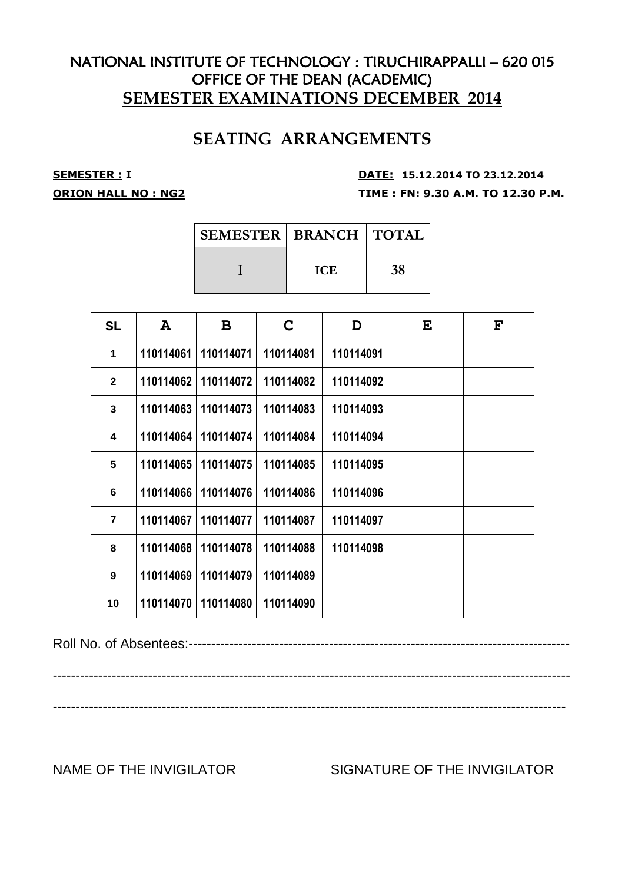# **SEATING ARRANGEMENTS**

**SEMESTER : <sup>I</sup> DATE: 15.12.2014 TO 23.12.2014 ORION HALL NO : NG2 TIME : FN: 9.30 A.M. TO 12.30 P.M.**

| <b>SEMESTER   BRANCH   TOTAL</b> |            |    |
|----------------------------------|------------|----|
|                                  | <b>ICE</b> | 38 |

| <b>SL</b>      | A         | B         | C         | D         | E | $\mathbf{F}$ |
|----------------|-----------|-----------|-----------|-----------|---|--------------|
| 1              | 110114061 | 110114071 | 110114081 | 110114091 |   |              |
| $\mathbf{2}$   | 110114062 | 110114072 | 110114082 | 110114092 |   |              |
| $\mathbf{3}$   | 110114063 | 110114073 | 110114083 | 110114093 |   |              |
| 4              | 110114064 | 110114074 | 110114084 | 110114094 |   |              |
| 5              | 110114065 | 110114075 | 110114085 | 110114095 |   |              |
| 6              | 110114066 | 110114076 | 110114086 | 110114096 |   |              |
| $\overline{7}$ | 110114067 | 110114077 | 110114087 | 110114097 |   |              |
| 8              | 110114068 | 110114078 | 110114088 | 110114098 |   |              |
| 9              | 110114069 | 110114079 | 110114089 |           |   |              |
| 10             | 110114070 | 110114080 | 110114090 |           |   |              |

Roll No. of Absentees:------------------------------------------------------------------------------------

------------------------------------------------------------------------------------------------------------------

-----------------------------------------------------------------------------------------------------------------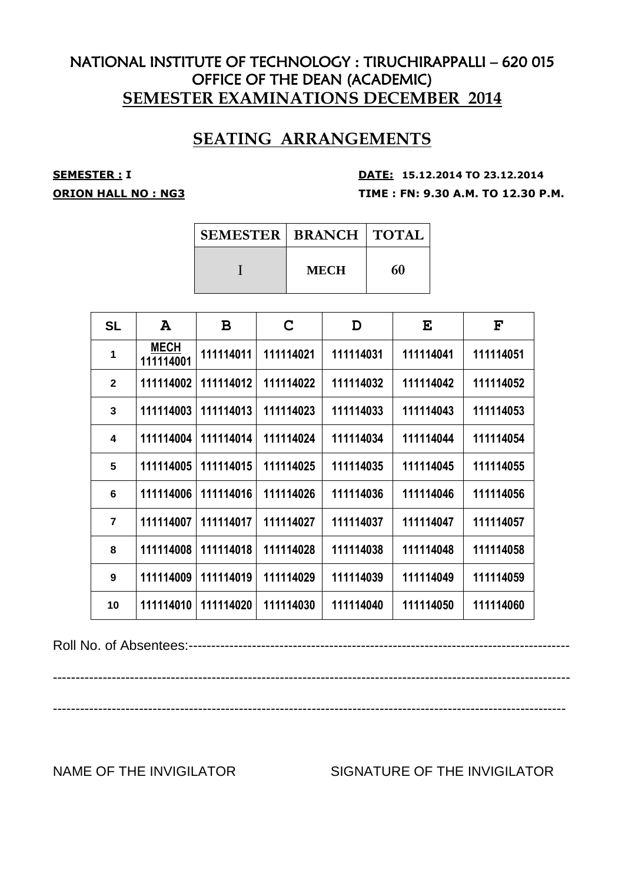# **SEATING ARRANGEMENTS**

**SEMESTER : <sup>I</sup> DATE: 15.12.2014 TO 23.12.2014 ORION HALL NO : NG3 TIME : FN: 9.30 A.M. TO 12.30 P.M.**

| <b>SEMESTER   BRANCH   TOTAL</b> |             |    |
|----------------------------------|-------------|----|
|                                  | <b>MECH</b> | 60 |

| <b>SL</b>      | A                        | B         | C         | D         | E         | $\mathbf{F}$ |
|----------------|--------------------------|-----------|-----------|-----------|-----------|--------------|
| 1              | <b>MECH</b><br>111114001 | 111114011 | 111114021 | 111114031 | 111114041 | 111114051    |
| $\overline{2}$ | 111114002                | 111114012 | 111114022 | 111114032 | 111114042 | 111114052    |
| 3              | 111114003                | 111114013 | 111114023 | 111114033 | 111114043 | 111114053    |
| 4              | 111114004                | 111114014 | 111114024 | 111114034 | 111114044 | 111114054    |
| 5              | 111114005                | 111114015 | 111114025 | 111114035 | 111114045 | 111114055    |
| 6              | 111114006                | 111114016 | 111114026 | 111114036 | 111114046 | 111114056    |
| $\overline{7}$ | 111114007                | 111114017 | 111114027 | 111114037 | 111114047 | 111114057    |
| 8              | 111114008                | 111114018 | 111114028 | 111114038 | 111114048 | 111114058    |
| 9              | 111114009                | 111114019 | 111114029 | 111114039 | 111114049 | 111114059    |
| 10             | 111114010                | 111114020 | 111114030 | 111114040 | 111114050 | 111114060    |

Roll No. of Absentees:------------------------------------------------------------------------------------

------------------------------------------------------------------------------------------------------------------ -----------------------------------------------------------------------------------------------------------------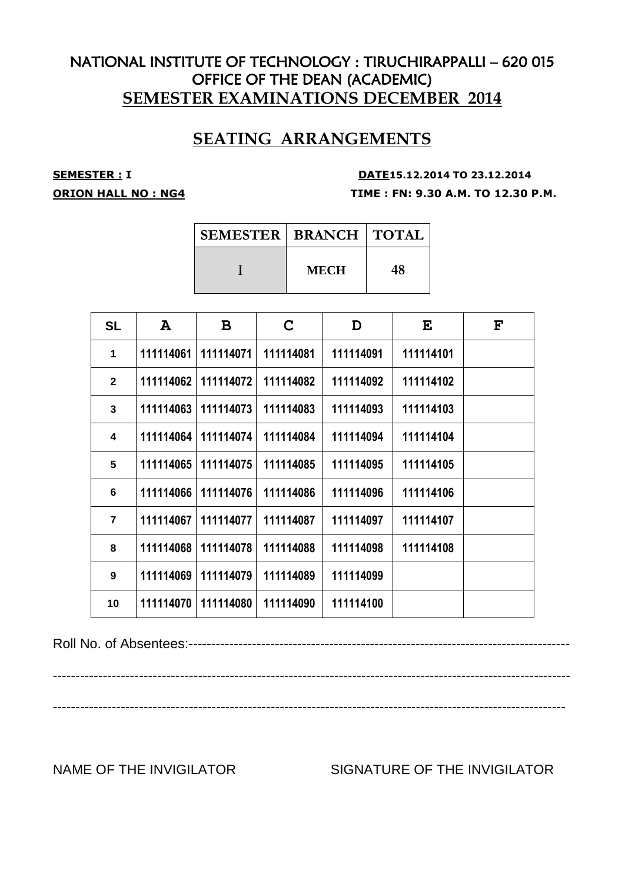# **SEATING ARRANGEMENTS**

**SEMESTER : <sup>I</sup> DATE15.12.2014 TO 23.12.2014 ORION HALL NO : NG4 TIME : FN: 9.30 A.M. TO 12.30 P.M.**

| <b>SEMESTER   BRANCH   TOTAL</b> |             |    |
|----------------------------------|-------------|----|
|                                  | <b>MECH</b> | 48 |

| <b>SL</b>      | A         | B         | C.        | D         | E         | $\mathbf{F}$ |
|----------------|-----------|-----------|-----------|-----------|-----------|--------------|
| 1              | 111114061 | 111114071 | 111114081 | 111114091 | 111114101 |              |
| $\mathbf{2}$   | 111114062 | 111114072 | 111114082 | 111114092 | 111114102 |              |
| 3              | 111114063 | 111114073 | 111114083 | 111114093 | 111114103 |              |
| 4              | 111114064 | 111114074 | 111114084 | 111114094 | 111114104 |              |
| 5              | 111114065 | 111114075 | 111114085 | 111114095 | 111114105 |              |
| 6              | 111114066 | 111114076 | 111114086 | 111114096 | 111114106 |              |
| $\overline{7}$ | 111114067 | 111114077 | 111114087 | 111114097 | 111114107 |              |
| 8              | 111114068 | 111114078 | 111114088 | 111114098 | 111114108 |              |
| 9              | 111114069 | 111114079 | 111114089 | 111114099 |           |              |
| 10             | 111114070 | 111114080 | 111114090 | 111114100 |           |              |

Roll No. of Absentees:------------------------------------------------------------------------------------

------------------------------------------------------------------------------------------------------------------

-----------------------------------------------------------------------------------------------------------------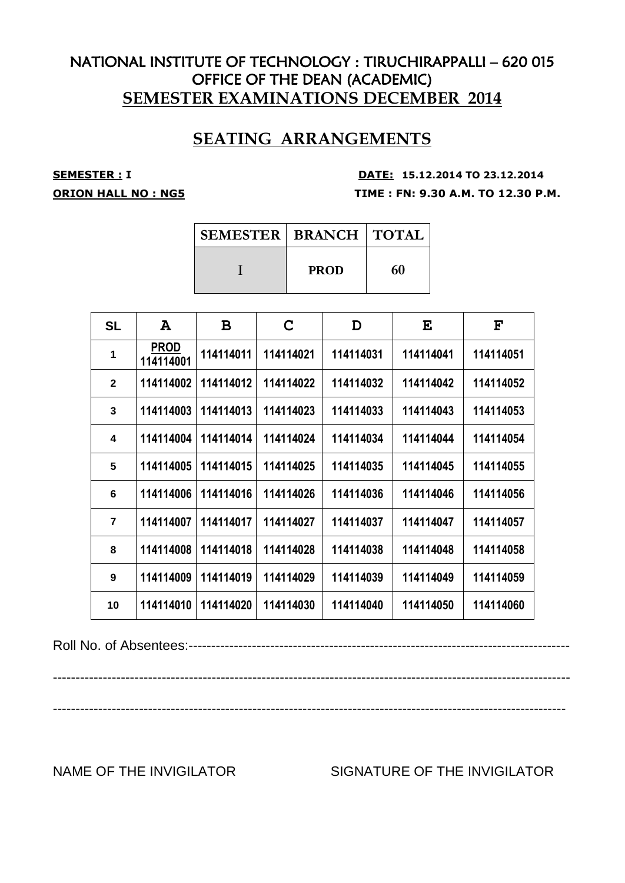# **SEATING ARRANGEMENTS**

**SEMESTER : <sup>I</sup> DATE: 15.12.2014 TO 23.12.2014 ORION HALL NO : NG5 TIME : FN: 9.30 A.M. TO 12.30 P.M.**

| <b>SEMESTER   BRANCH   TOTAL</b> |             |    |
|----------------------------------|-------------|----|
|                                  | <b>PROD</b> | 60 |

| <b>SL</b>      | A                        | B         | C         | D         | E         | $\mathbf{F}$ |
|----------------|--------------------------|-----------|-----------|-----------|-----------|--------------|
| 1              | <b>PROD</b><br>114114001 | 114114011 | 114114021 | 114114031 | 114114041 | 114114051    |
| $\overline{2}$ | 114114002                | 114114012 | 114114022 | 114114032 | 114114042 | 114114052    |
| 3              | 114114003                | 114114013 | 114114023 | 114114033 | 114114043 | 114114053    |
| 4              | 114114004                | 114114014 | 114114024 | 114114034 | 114114044 | 114114054    |
| 5              | 114114005                | 114114015 | 114114025 | 114114035 | 114114045 | 114114055    |
| 6              | 114114006                | 114114016 | 114114026 | 114114036 | 114114046 | 114114056    |
| $\overline{7}$ | 114114007                | 114114017 | 114114027 | 114114037 | 114114047 | 114114057    |
| 8              | 114114008                | 114114018 | 114114028 | 114114038 | 114114048 | 114114058    |
| 9              | 114114009                | 114114019 | 114114029 | 114114039 | 114114049 | 114114059    |
| 10             | 114114010                | 114114020 | 114114030 | 114114040 | 114114050 | 114114060    |

Roll No. of Absentees:------------------------------------------------------------------------------------

------------------------------------------------------------------------------------------------------------------ -----------------------------------------------------------------------------------------------------------------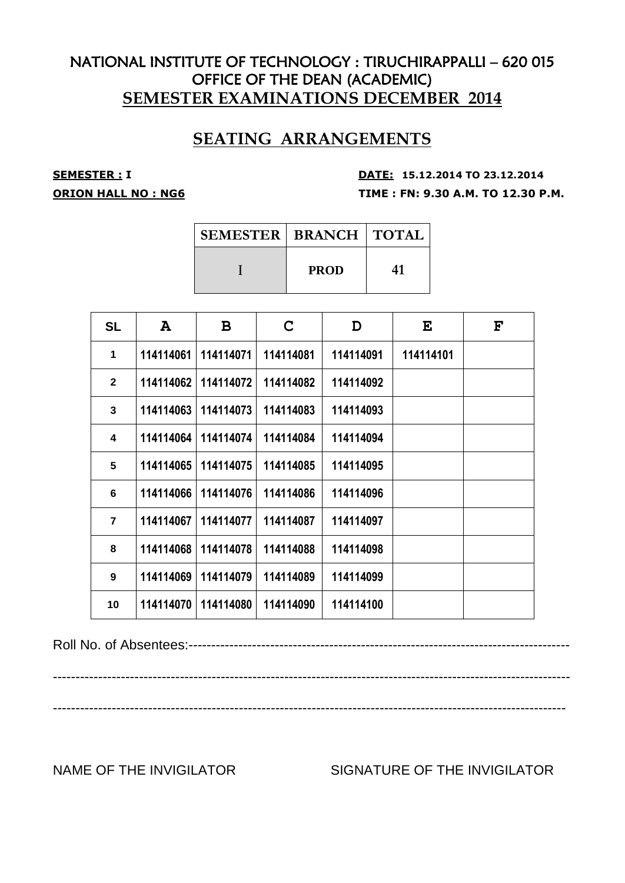# **SEATING ARRANGEMENTS**

**SEMESTER : <sup>I</sup> DATE: 15.12.2014 TO 23.12.2014 ORION HALL NO : NG6 TIME : FN: 9.30 A.M. TO 12.30 P.M.**

| <b>SEMESTER   BRANCH   TOTAL</b> |             |    |
|----------------------------------|-------------|----|
|                                  | <b>PROD</b> | 41 |

| <b>SL</b>               | $\mathbf{A}$ | B         | C         | D         | E         | $\mathbf{F}$ |
|-------------------------|--------------|-----------|-----------|-----------|-----------|--------------|
| 1                       | 114114061    | 114114071 | 114114081 | 114114091 | 114114101 |              |
| $\overline{2}$          | 114114062    | 114114072 | 114114082 | 114114092 |           |              |
| $\overline{\mathbf{3}}$ | 114114063    | 114114073 | 114114083 | 114114093 |           |              |
| 4                       | 114114064    | 114114074 | 114114084 | 114114094 |           |              |
| 5                       | 114114065    | 114114075 | 114114085 | 114114095 |           |              |
| 6                       | 114114066    | 114114076 | 114114086 | 114114096 |           |              |
| $\overline{7}$          | 114114067    | 114114077 | 114114087 | 114114097 |           |              |
| 8                       | 114114068    | 114114078 | 114114088 | 114114098 |           |              |
| 9                       | 114114069    | 114114079 | 114114089 | 114114099 |           |              |
| 10                      | 114114070    | 114114080 | 114114090 | 114114100 |           |              |

Roll No. of Absentees:------------------------------------------------------------------------------------

------------------------------------------------------------------------------------------------------------------

-----------------------------------------------------------------------------------------------------------------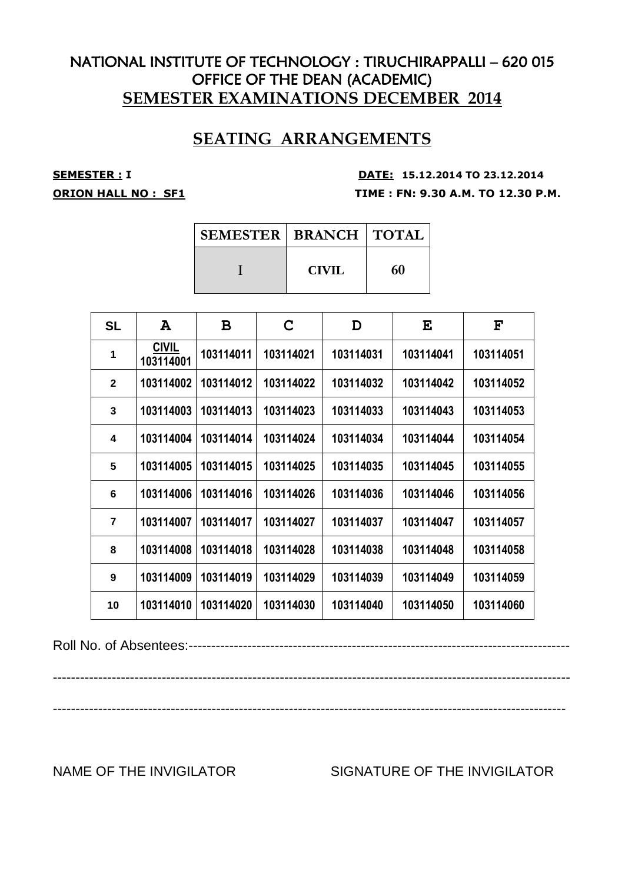# **SEATING ARRANGEMENTS**

### **SEMESTER : <sup>I</sup> DATE: 15.12.2014 TO 23.12.2014 ORION HALL NO : SF1 TIME : FN: 9.30 A.M. TO 12.30 P.M.**

| <b>SEMESTER   BRANCH   TOTAL</b> |              |    |
|----------------------------------|--------------|----|
|                                  | <b>CIVIL</b> | 60 |

| <b>SL</b>      | A                         | B         | C         | D         | E         | $\mathbf{F}$ |
|----------------|---------------------------|-----------|-----------|-----------|-----------|--------------|
| 1              | <b>CIVIL</b><br>103114001 | 103114011 | 103114021 | 103114031 | 103114041 | 103114051    |
| $\mathbf{2}$   | 103114002                 | 103114012 | 103114022 | 103114032 | 103114042 | 103114052    |
| 3              | 103114003                 | 103114013 | 103114023 | 103114033 | 103114043 | 103114053    |
| 4              | 103114004                 | 103114014 | 103114024 | 103114034 | 103114044 | 103114054    |
| 5              | 103114005                 | 103114015 | 103114025 | 103114035 | 103114045 | 103114055    |
| 6              | 103114006                 | 103114016 | 103114026 | 103114036 | 103114046 | 103114056    |
| $\overline{7}$ | 103114007                 | 103114017 | 103114027 | 103114037 | 103114047 | 103114057    |
| 8              | 103114008                 | 103114018 | 103114028 | 103114038 | 103114048 | 103114058    |
| 9              | 103114009                 | 103114019 | 103114029 | 103114039 | 103114049 | 103114059    |
| 10             | 103114010                 | 103114020 | 103114030 | 103114040 | 103114050 | 103114060    |

Roll No. of Absentees:------------------------------------------------------------------------------------

------------------------------------------------------------------------------------------------------------------

-----------------------------------------------------------------------------------------------------------------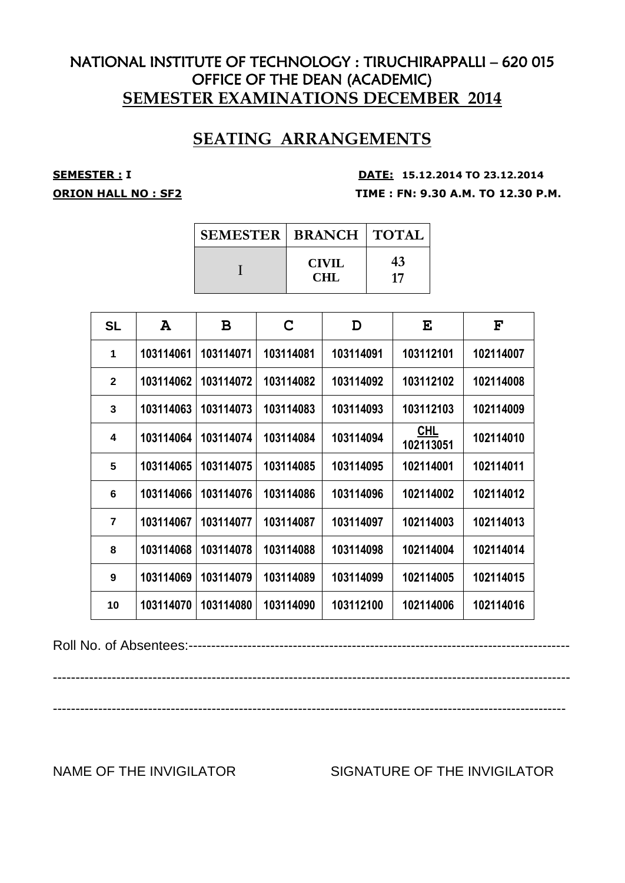# **SEATING ARRANGEMENTS**

**SEMESTER : <sup>I</sup> DATE: 15.12.2014 TO 23.12.2014 ORION HALL NO : SF2 TIME : FN: 9.30 A.M. TO 12.30 P.M.**

| <b>SEMESTER   BRANCH   TOTAL</b> |                     |          |
|----------------------------------|---------------------|----------|
|                                  | <b>CIVIL</b><br>CHL | 43<br>17 |

| <b>SL</b>      | A         | B         | C         | D         | E                       | $\mathbf{F}$ |
|----------------|-----------|-----------|-----------|-----------|-------------------------|--------------|
| 1              | 103114061 | 103114071 | 103114081 | 103114091 | 103112101               | 102114007    |
| $\mathbf{2}$   | 103114062 | 103114072 | 103114082 | 103114092 | 103112102               | 102114008    |
| 3              | 103114063 | 103114073 | 103114083 | 103114093 | 103112103               | 102114009    |
| 4              | 103114064 | 103114074 | 103114084 | 103114094 | <b>CHL</b><br>102113051 | 102114010    |
| 5              | 103114065 | 103114075 | 103114085 | 103114095 | 102114001               | 102114011    |
| 6              | 103114066 | 103114076 | 103114086 | 103114096 | 102114002               | 102114012    |
| $\overline{7}$ | 103114067 | 103114077 | 103114087 | 103114097 | 102114003               | 102114013    |
| 8              | 103114068 | 103114078 | 103114088 | 103114098 | 102114004               | 102114014    |
| 9              | 103114069 | 103114079 | 103114089 | 103114099 | 102114005               | 102114015    |
| 10             | 103114070 | 103114080 | 103114090 | 103112100 | 102114006               | 102114016    |

Roll No. of Absentees:------------------------------------------------------------------------------------

------------------------------------------------------------------------------------------------------------------ -----------------------------------------------------------------------------------------------------------------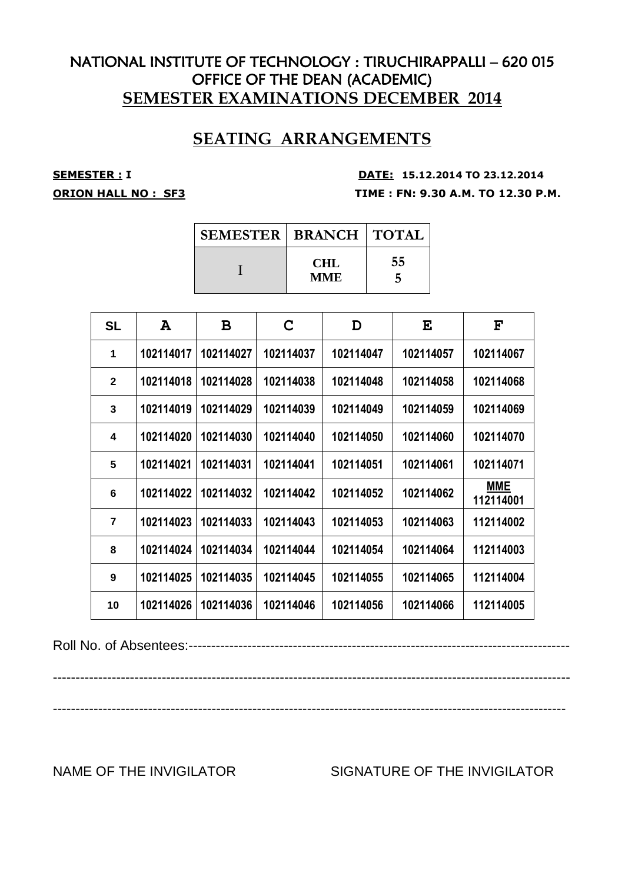# **SEATING ARRANGEMENTS**

### **SEMESTER : <sup>I</sup> DATE: 15.12.2014 TO 23.12.2014 ORION HALL NO : SF3 TIME : FN: 9.30 A.M. TO 12.30 P.M.**

| <b>SEMESTER   BRANCH   TOTAL</b> |                    |    |
|----------------------------------|--------------------|----|
|                                  | <b>CHL</b><br>MME. | 55 |

| <b>SL</b>      | A         | B         | C         | D         | E         | $\mathbf{F}$            |
|----------------|-----------|-----------|-----------|-----------|-----------|-------------------------|
| 1              | 102114017 | 102114027 | 102114037 | 102114047 | 102114057 | 102114067               |
| $\mathbf{2}$   | 102114018 | 102114028 | 102114038 | 102114048 | 102114058 | 102114068               |
| 3              | 102114019 | 102114029 | 102114039 | 102114049 | 102114059 | 102114069               |
| 4              | 102114020 | 102114030 | 102114040 | 102114050 | 102114060 | 102114070               |
| 5              | 102114021 | 102114031 | 102114041 | 102114051 | 102114061 | 102114071               |
| 6              | 102114022 | 102114032 | 102114042 | 102114052 | 102114062 | <b>MME</b><br>112114001 |
| $\overline{7}$ | 102114023 | 102114033 | 102114043 | 102114053 | 102114063 | 112114002               |
| 8              | 102114024 | 102114034 | 102114044 | 102114054 | 102114064 | 112114003               |
| 9              | 102114025 | 102114035 | 102114045 | 102114055 | 102114065 | 112114004               |
| 10             | 102114026 | 102114036 | 102114046 | 102114056 | 102114066 | 112114005               |

Roll No. of Absentees:------------------------------------------------------------------------------------

------------------------------------------------------------------------------------------------------------------ -----------------------------------------------------------------------------------------------------------------